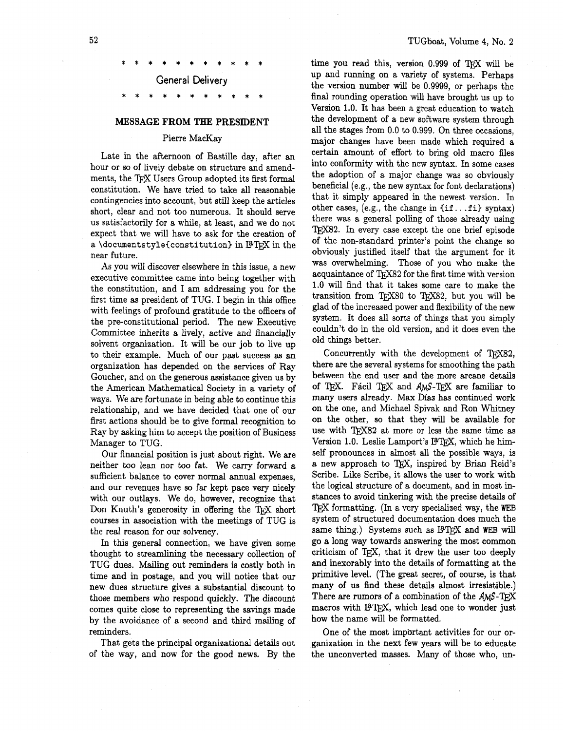# General Delivery

### **MESSAGE FROM THE PRESIDENT**

## Pierre MacKay

Late in the afternoon of Bastille day, after an hour or so of lively debate on structure and amendments, the TFX Users Group adopted its first formal constitution. We have tried to take all reasonable contingencies into account, but still keep the articles short, clear and not too numerous. It should serve us satisfactorily for a while, at least, and we do not expect that we will have to ask for the creation of a **\documentstyle{constitution}** in BTEX in the near future.

As you will discover elsewhere in this issue, a new executive committee came into being together with the constitution, and I am addressing you for the first time as president of TUG. I begin in this office with feelings of profound gratitude to the officers of the pre-constitutional period. The new Executive Committee inherits a lively, active and financially solvent organization. It will be our job to live up to their example. Much of our past success as an organization has depended on the services of Ray Goucher, and on the generous assistance given us by the American Mathematical Society in a variety of ways. We are fortunate in being able to continue this relationship, and we have decided that one of our first actions should be to give formal recognition to Ray by asking him to accept the position of Business Manager to TUG.

Our financial position is just about right. We are neither too lean nor too fat. We carry forward a sufficient balance to cover normal annual expenses, and our revenues have so far kept pace very nicely with our outlays. We do, however, recognize that Don Knuth's generosity in offering the TFX short courses in association with the meetings of TUG is the real reason for our solvency.

**In** this general connection, we have given some thought to streamlining the necessary collection of TUG dues. Mailing out reminders is costly both in time and in postage, and you will notice that our new dues structure gives a substantial discount to those members who respond quickly. The discount comes quite close to representing the savings made by the avoidance of a second and third mailing of reminders.

That gets the principal organizational details out of the way, and now for the good news. By the time you read this, version  $0.999$  of TEX will be up and running on a variety of systems. Perhaps the version number will be 0.9999, or perhaps the final rounding operation will have brought us up to Version 1.0. It has been a great education to watch the development of a new software system through all the stages from 0.0 to 0.999. On three occasions, major changes have been made which required a certain amount of effort to bring old macro files into conformity with the new syntax. In some cases the adoption of a major change was so obviously beneficial (e.g., the new syntax for font declarations) that it simply appeared in the newest version. In other cases, (e.g., the change in **(if.** . **.f i)** syntax) there was a general polling of those already using TEX82. In every case except the one brief episode of the non-standard printer's point the change so obviously justified itself that the argument for it was overwhelming. Those of you who make the acquaintance of TFX82 for the first time with version 1.0 will find that it takes some care to make the transition from TFX80 to TFX82, but you will be glad of the increased power and flexibility of the new system. It does **all** sorts of things that you simply couldn't do in the old version, and it does even the old things better.

Concurrently with the development of TFX82, there are the several systems for smoothing the path between the end user and the more arcane details of TEX. Fácil TEX and AMS-TEX are familiar to many users already. Max Diaz has continued work on the one, and Michael Spivak and Ron Whitney on the other, so that they will be available for use with TEX82 at more or less the same time as Version 1.0. Leslie Lamport's I3TFX, which he himself pronounces in almost all the possible ways, is a new approach to TEX, inspired by Brian Reid's Scribe. Like Scribe, it allows the user to work with the logical structure of a document, and in most instances to avoid tinkering with the precise details of TFX formatting. (In a very specialized way, the WEB system of structured documentation does much the same thing.) Systems such as I<sup>3</sup>TEX and WEB will go a long way towards answering the most common criticism of TEX, that it drew the user too deeply and inexorably into the details of formatting at the primitive level. (The great secret, of course, is that many of us find these details almost irresistible.) There are rumors of a combination of the AMS-T<sub>F</sub>X macros with I<sup>9</sup>TFX, which lead one to wonder just how the name will be formatted.

One of the most imp6rtant activities for our organization in the next few years will be to educate the unconverted masses. Many of those who, un-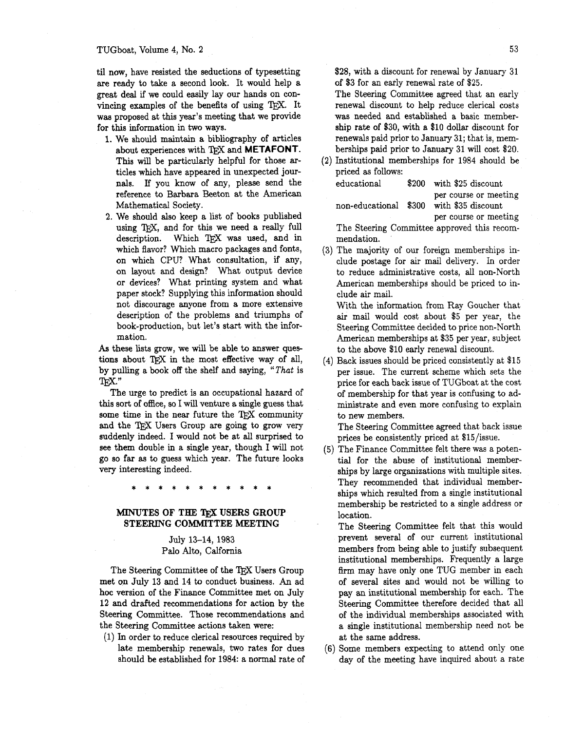#### TUGboat, Volume 4, No. 2

til now, have resisted the seductions of typesetting are ready to take a second look. It would help a great deal if we could easily lay our hands on convincing examples of the benefits of using T<sub>F</sub>X. It was proposed at this year's meeting that we provide for this information in two ways.

- 1. We should maintain a bibliography of articles about experiences with TFX and METAFONT. This will be particularly helpful for those articles which have appeared in unexpected journals. If you know of any, please send the reference to Barbara Beeton at the American Mathematical Society.
- **2.** We should also keep a list of books published using TEX, and for this we need a really full description. Which TFX was used, and in which flavor? Which macro packages and fonts, on which CPU? What consultation, if any, on layout and design? What output device or devices? What printing system and what paper stock? Supplying this information should not discourage anyone from a more extensive description of the problems and triumphs of book-production, but let's start with the information.

**As** these lists grow, we will be able to answer questions about TFX in the most effective way of all, by pulling a book off the shelf and saying, "That is TFX."

The urge to predict is an occupational hazard of this sort of office, so I will venture a single guess that some time in the near future the TFX community and the TEX Users Group are going to grow very suddenly indeed. I would not be at all surprised to see them double in a single year, though I will not go so far as to guess which year. The future looks very interesting indeed.

## **MINUTES OF THE TWX USERS GROUP STEERING COMMITTEE MEETING**

# July 13-14, 1983 Palo **Alto,** Calfornia

The Steering Committee of the TFX Users Group met on July 13 and 14 to conduct business. An ad hoc version of the Finance Committee met on July 12 and drafted recommendations for action by the Steering Committee. Those recommendations and the Steering Committee actions taken were:

(1) **h** order to reduce clerical resources required by late membership renewals, two rates for dues should be established for 1984: a normal rate of \$28, with a discount for renewal by January 31 of \$3 for an early renewal rate of \$25.

The Steering Committee agreed that an early renewal discount to help reduce clerical costs was needed and established a basic membership rate of \$30, with a \$10 dollar discount for renewals paid prior to January 31; that is, memberships paid prior to January 31 will cost \$20.

Institutional memberships for 1984 should be priced as follows:

| educational | \$200 with \$25 discount                                          |
|-------------|-------------------------------------------------------------------|
|             | per course or meeting<br>non-educational \$300 with \$35 discount |
|             | per course or meeting                                             |

The Steering Committee approved this recommendation.

(3) The majority of our foreign memberships include postage for air mail delivery. In order to reduce administrative costs, **all** non-North American memberships should be priced to include air mail.

With the information from Ray Goucher that air mail would cost about \$5 per year, the Steering Committee decided to price non-North American memberships at \$35 per year, subject to the above \$10 early renewal discount.

(4) Back issues should be priced consistently at \$15 per issue. The current scheme which sets the price for each back issue of TUGboat at the cost of membership for that year is confusing to administrate and even more confusing to explain to new members.

The Steering Committee agreed that back issue prices be consistently priced at \$15/issue.

(5) The Finance Committee felt there was a potential for the abuse of institutional memberships by large organizations with multiple sites. They recommended that individual memberships which resulted from a single institutional membership be restricted to a single address or location.

The Steering Committee felt that this would prevent several of our current institutional members from being able to justify subsequent institutional memberships. Frequently a large firm may have only one TUG member in each of several sites and would not be willing to pay an institutional membership for each. The Steering Committee therefore decided that all of the individual memberships associated with a single institutional membership need not be at the same address.

Some members expecting to attend only one day of the meeting have inquired about a rate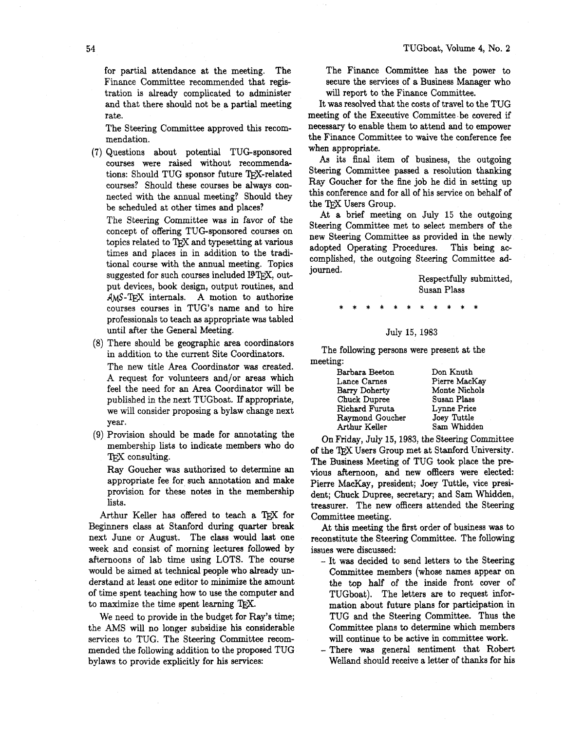for partial attendance at the meeting. The Finance Committee recommended that registration is already complicated to administer and that there should not be a partial meeting rate.

The Steering Committee approved this recommendation.

(7) Questions about potential TUG-sponsored courses were raised without recommendations: Should TUG sponsor future TFX-related courses? Should these courses be always connected with the annual meeting? Should they be scheduled at other times and places?

The Steering Committee was in favor of the concept of offering TUG-sponsored courses on topics related to TFX and typesetting at various times and places in in addition to the traditional course with the annual meeting. Topics suggested for such courses included IPTFX, output devices, book design, output routines, and AMS-TFX internals. A motion to authorize courses courses in TUG'S name and to hire professionals to teach as appropriate was tabled until after the General Meeting.

- (8) There should be geographic area coordinators in addition to the current Site Coordinators. The new title Area Coordinator was created. A request for volunteers and/or areas which feel the need for an hea Coordinator will be published in the next TUGboat. If appropriate, we will consider proposing a bylaw change next year.
- (9) Provision should be made for annotating the membership lists to indicate members who do T<sub>F</sub>X consulting.

Ray Goucher was authorized to determine an appropriate fee for such annotation and make provision for these notes in the membership lists.

Arthur Keller has offered to teach a TFX for Beginners class at Stanford during quarter break next June or August. The class would last one week and consist of morning lectures followed by afternoons of lab time using LOTS. The course would be aimed at technical people who already understand at least one editor to minimize the amount of time spent teaching how to use the computer and to maximize the time spent learning TEX.

We need to provide in the budget for Ray's time; the AMS will no longer subsidize his considerable services to TUG. The Steering Committee recommended the following addition to the proposed TUG bylaws to provide explicitly for his services:

The Finance Committee has the power to secure the services of a Business Manager who will report to the Finance Committee.

It was resolved that the costs of travel to the TUG meeting of the Executive Committee be covered if necessary to enable them to attend and to empower the Finance Committee to waive the conference fee when appropriate.

**As** its final item of business, the outgoing Steering Committee passed a resolution thanking Ray Goucher for the fine job he did in setting up this conference and for **all** of his service on behalf of the TFX Users Group.

At a brief meeting on July 15 the outgoing Steering Committee met to select members of the new Steering Committee as provided in the newly adopted Operating Procedures. This being accomplished, the outgoing Steering Committee adjourned.

> Respectfully submitted, Susan Plass

## July 15, 1983

The following persons were present at the meeting:

| Don Knuth     |
|---------------|
| Pierre MacKay |
| Monte Nichols |
| Susan Plass   |
| Lynne Price   |
| Joey Tuttle   |
| Sam Whidden   |
|               |

On Friday, July 15,1983, the Steering Committee of the Users Group met at Stanford University. The Business Meeting of TUG took place the previous afternoon, and new officers were elected: Pierre MacKay, president; Joey Tuttle, vice president; Chuck Dupree, secretary; and Sam Whidden, treasurer. The new officers attended the Steering Committee meeting.

At this meeting the fist order of business was to reconstitute the Steering Committee. The following issues were discussed:

- It was decided to send letters **to** the Steering Committee members (whose names appear on the top half of the inside front cover of TUGboat). The letters are to request information about future plans for participation in TUG and the Steering Committee. Thus the Committee plans to determine which members will continue to be active in committee work.
- There **was** general sentiment that Robert Welland should receive a letter of thanks for his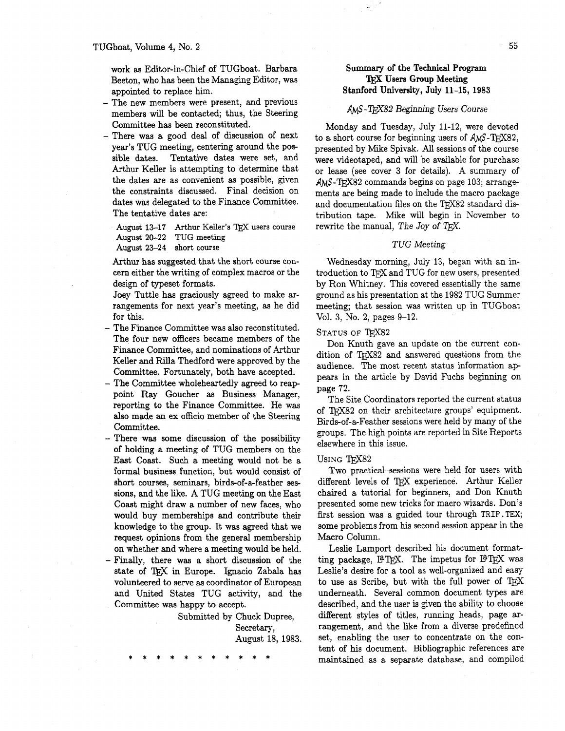work as Editor-in-Chief of TUGboat. Barbara Beeton, who has been the Managing Editor, was appointed to replace him.

- The new members were present, and previous members will be contacted; thus, the Steering Committee has been reconstituted.
- There was a good deal of discussion of next year's TUG meeting, centering around the possible dates. Tentative dates were set, and Arthur Keller is attempting to determine that the dates are as convenient as possible, given the constraints discussed. Final decision on dates was delegated to the Finance Committee. The tentative dates are:

August 13-17 Arthur Keller's TEX users course August **20-22 TUG** meeting August **23-24** short course

Arthur has suggested that the short course concern either the writing of complex macros or the design of typeset formats.

Joey Tuttle has graciously agreed to make arrangements for next year's meeting, as he did for this.

- The Finance Committee was also reconstituted. The four new officers became members of the Finance Committee, and nominations of Arthur Keller and Rilla Thedford were approved by the Committee. Fortunately, both have accepted.
- The Committee wholeheartedly agreed to reappoint Ray Goucher as Business Manager, reporting to the Finance Committee. He was also made an ex officio member of the Steering Committee.
- There was some discussion of the possibility of holding a meeting of TUG members on the East Coast. Such a meeting would not be a formal business function, but would consist of short courses, seminars, birds-of-a-feather sessions, and the like. A TUG meeting on the East Coast might draw a number of new faces, who would buy memberships and contribute their knowledge to the group. It was agreed that we request opinions from the general membership on whether and where a meeting would be held. - Finally, there was a short discussion of the
	- state of TEX in Europe. Ignacio Zabala has volunteered to serve as coordinator of European and United States TUG activity, and the Committee was happy to accept.

Submitted by Chuck Dupree, Secretary, August 18, 1983.

# **Surmnary of** the **Technical Program**  'JPEX **Users Group Meeting Stanford University, July 11-15, 1983**

## AMS-TFX82 Beginning Users Course

Monday and Tuesday, July 11-12, were devoted to a short course for beginning users of  $AMS$ -TEX82, presented by Mike Spivak. All sessions of the course were videotaped, and will be available for purchase or lease (see cover **3** for details). A summary of  $AMS$ -TEX82 commands begins on page 103; arrangements are being made to include the macro package and documentation files on the TFX82 standard distribution tape. Mike will begin in November to rewrite the manual, The Joy of T $\overline{r}X$ .

## TUG Meeting

Wednesday morning, July 13, began with an introduction to TFX and TUG for new users, presented by Ron Whitney. This covered essentially the same ground as his presentation at the 1982 TUG Summer meeting; that session was written up in TUGboat Vol. 3, No. 2, pages 9-12.

#### STATUS OF TEX82

Don Knuth gave an update on the current condition of TFX82 and answered questions from the audience. The most recent status information appears in the article by David Fuchs beginning on page 72.

The Site Coordinators reported the current status of QX82 on their architecture groups' equipment. Birds-of-a-Feather sessions were held by many of the groups. The high points are reported in Site Reports elsewhere in this issue.

#### USING TFX82

Two practical sessions were held for users with different levels of TFX experience. Arthur Keller chaired a tutorial for beginners, and Don Knuth presented some new tricks for macro wizards. Don's fist session was a guided tour through **TRIP. TEX;**  some problems from his second session appear in the Macro Column.

Leslie Larnport described his document formatting package, I<sup>9</sup>TEX. The impetus for I9TEX was Leslie's desire for a tool as well-organized and easy to use as Scribe, but with the full power of TEX underneath. Several common document types are described, and the user is given the ability to choose different styles of titles, running heads, page arrangement, and the like from a diverse predefined set, enabling the user to concentrate on the content of his document. Bibliographic references are maintained as a separate database, and compiled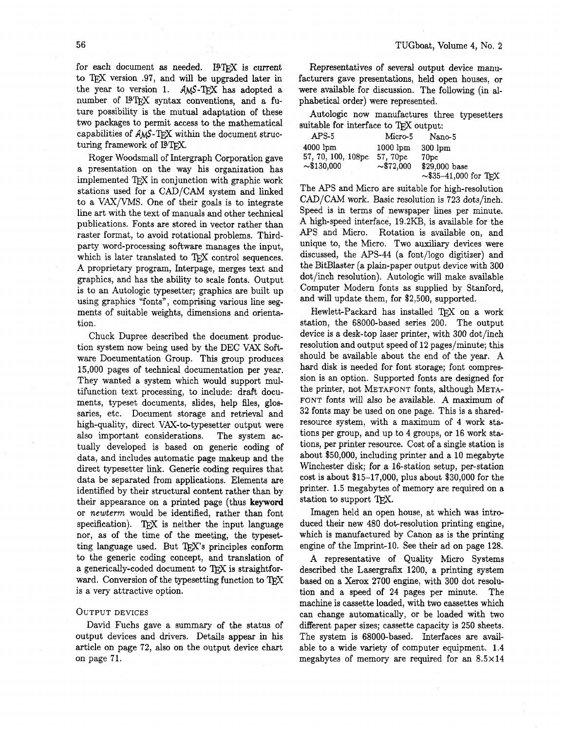for each document as needed. IFTFX is current to T<sub>F</sub>X version .97, and will be upgraded later in the year to version 1.  $AMS-TFX$  has adopted a number of I<sup>9</sup>T<sub>F</sub>X syntax conventions, and a future possibility is the mutual adaptation of these two packages to permit access to the mathematical capabilities of  $AMS$ -TFX within the document structuring framework of **PTFX**.

Roger Woodsmall of Intergraph Corporation gave a presentation on the way his organization has implemented TEX in conjunction with graphic work stations used for a CAD/CAM system and linked to a VAX/VMS. One of their goals is to integrate line art with the text of manuals and other technical publications. Fonts are stored in vector rather than raster format, to avoid rotational problems. Thirdparty word-processing software manages the input, which is later translated to TFX control sequences. A proprietary program, Interpage, merges text and graphics, and has the ability to scale fonts. Output is to an Autologic typesetter; graphics are built up using graphics "fonts", comprising various line segments of suitable weights, dimensions and orientation.

Chuck Dupree described the document production system now being used by the DEC VAX Soh ware Documentation Group. This group produces 15,000 pages of technical documentation per year. They wanted a system which would support multifunction text processing, to include: draft documents, typeset documents, slides, help files, glossaries, etc. Document storage and retrieval and high-quality, direct VAX-to-typesetter output were also important considerations. The system actually developed is based on generic coding of data, and includes automatic page makeup and the direct typesetter **link.** Generic coding requires that data be separated from applications. Elements are identified by their structural content rather than by their appearance on a printed page (thus **keyword**  or *newterm* would be identified, rather than font specification). TFX is neither the input language nor, as of the time of the meeting, the typesetting language used. But  $Tr X$ 's principles conform to the generic coding concept, and translation of a generically-coded document to TEX is straightforward. Conversion of the typesetting function to TFX is a very attractive option.

#### OUTPUT DEVICES

David Fuchs gave a summary of the status of output devices and drivers. Details appear in his article on page 72, also on the output device chart on page 71.

Representatives of several output device manufacturers gave presentations, held open houses, or were available for discussion. The following (in alphabetical order) were represented.

Autologic now manufactures three typesetters suitable for interface to TFX output:

| APS-5              | Micro-5             | Nano-5                     |
|--------------------|---------------------|----------------------------|
| $4000$ $lm$        | $1000$ $\text{lm}$  | $300$ lpm                  |
| 57, 70, 100, 108pc | 57.70 <sub>pc</sub> | 70pc                       |
| $\sim$ \$130,000   | $\sim 372,000$      | \$29,000 base              |
|                    |                     | $\sim$ \$35-41,000 for TFX |

The APS and Micro are suitable for high-resolution  $CAD/CAM$  work. Basic resolution is 723 dots/inch. Speed is in terms of newspaper lines per minute. A high-speed interface, 19.2KB, is available for the APS and Micro. Rotation is available on, and unique to, the Micro. Two auxiliary devices were discussed, the APS-44 (a font/logo digitizer) and the BitBlaster (a plain-paper output device with 300 dot/inch resolution). Autologic will make available Computer Modern fonts as supplied by Stanford, and will update them, for \$2,500, supported.

Hewlett-Packard has installed TFX on a work station, the 68000-based series 200. The output device is a desk-top laser printer, with 300 dot/inch resolution and output speed of 12 pages/minute; this should be available about the end of the year. **A**  hard disk is needed for font storage; font compression is an option. Supported fonts are designed for the printer, not METAFONT fonts, although META-FONT fonts **will** also be available. **A** maximum of 32 fonts may be used on one page. This is a sharedresource system, with a maximum of 4 work stations per group, and up to 4 groups, or 16 work stations, per printer resource. Cost of a single station is about \$50,000, including printer and a 10 megabyte Winchester disk; for a 16-station setup, per-station cost is about \$15-17,000, plus about \$30,000 for the printer. 1.5 megabytes of memory are required on a station to support TFX.

Imagen held an open house, at which was introduced their new 480 dot-resolution printing engine, which is manufactured by Canon as is the printing engine of the Imprint-10. See their ad on page 128.

A representative of Quality Micro Systems described the Lasergrafix 1200, a printing system based on a Xerox 2700 engine, with 300 dot resolution and a speed of **24** pages per minute. The machine is cassette loaded, with two cassettes which can change automatically, or be loaded with two different paper sizes; cassette capacity is 250 sheets. The system is 68000-based. Interfaces are available to a wide variety of computer equipment. 1.4 megabytes of memory are required for an  $8.5 \times 14$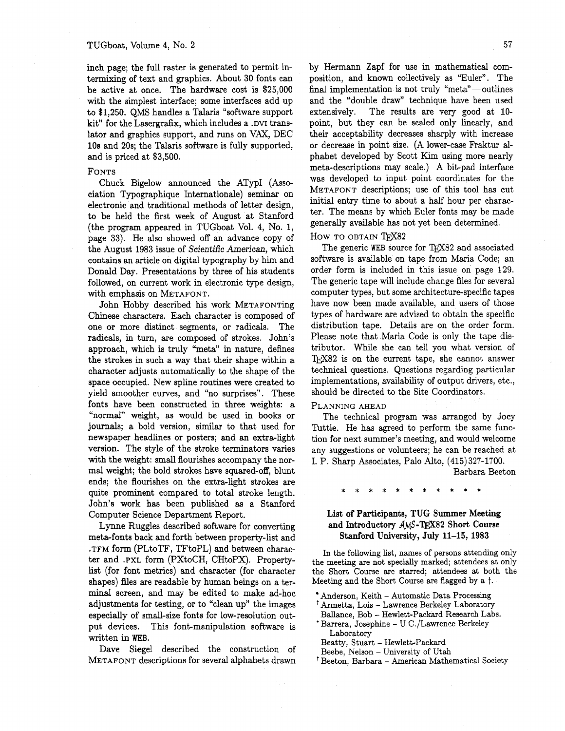inch page; the full raster is generated to permit intermixing of text and graphics. About 30 fonts can be active at once. The hardware cost is \$25,000 with the simplest interface; some interfaces add up to \$1,250. QMS handles a Talaris "software support kit" for the Lasergrafix, which includes a .DVI translator and graphics support, and runs on VAX, DEC 10s and 20s; the Talaris software is fully supported, and is priced at \$3,500.

## FONTS

Chuck Bigelow announced the ATypI (Association Typographique Internationale) seminar on electronic and traditional methods of letter design, to be held the first week of August at Stanford (the program appeared in TUGboat Vol. 4, No. 1, page 33). He also showed off an advance copy of the August 1983 issue of Scientific American, which contains an article on digital typography by him and Donald Day. Presentations by three of his students followed, on current work in electronic type design, with emphasis on METAFONT.

John Hobby described his work METAFONTing Chinese characters. Each character is composed of one or more distinct segments, or radicals. The radicals, in turn, are composed of strokes. John's approach, which is truly "meta" in nature, defines the strokes in such a way that their shape within a character adjusts automatically to the shape of the space occupied. New spline routines were created to yield smoother curves, and "no surprises". These fonts have been constructed in three weights: a "normal" weight, as would be used in books or journals; a bold version, similar to that used for newspaper headlines or posters; and an extra-light version. The style of the stroke terminators varies with the weight: small flourishes accompany the normal weight; the bold strokes have squared-off, blunt ends; the flourishes on the extra-light strokes are quite prominent compared to total stroke length. John's work has been published as a Stanford Computer Science Department Report.

Lynne Ruggles described software for converting meta-fonts back and forth between property-list and .TFM form (PLtoTF, TFtoPL) and between character and **.PXL** form (PXtoCH, CHtoPX). Propertylist (for font metrics) and character (for character shapes) files are readable by human beings on a terminal screen, and may be edited to make ad-hoc adjustments for testing, or to "clean up" the images especially of small-size fonts for low-resolution output devices. This font-manipulation software is written in WEB.

Dave Siege1 described the construction of METAFONT descriptions for several alphabets drawn

by Hermann Zapf for use in mathematical composition, and known collectively as "Euler". The final implementation is not truly " $meta$ "--outlines and the "double draw" technique have been used extensively. The results are very good at 10 point, but they can be scaled only linearly, and their acceptability decreases sharply with increase or decrease in point size. (A lower-case Fraktur alphabet developed by Scott Kim using more nearly meta-descriptions may scale.) A bit-pad interface was developed to input point coordinates for the METAFONT descriptions; use of this tool has cut initial entry time to about a half hour per character. The means by which Euler fonts may be made generally available has not yet been determined.

#### How TO OBTAIN TFX82

The generic WEB source for TFX82 and associated software is available on tape from Maria Code; an order form is included in this issue on page 129. The generic tape will include change files for several computer types, but some architecture-specific tapes have now been made available, and users of those types of hardware are advised to obtain the specific distribution tape. Details are on the order form. Please note that Maria Code is only the tape distributor. While she can tell you what version of TFX82 is on the current tape, she cannot answer technical questions. Questions regarding particular implementations, availability of output drivers, etc., should be directed to the Site Coordinators.

#### PLANNING AHEAD

The technical program was arranged by Joey Tuttle. He has agreed to perform the same function for next summer's meeting, and would welcome any suggestions or volunteers; he can be reached at I. P. Sharp Associates, Palo Alto, (415) 327-1700.

Barbara Beeton

# List of Participants, **TUG** Summer Meeting and Introductory AMS-TFX82 Short Course Stanford University, July 11-15, 1983

In the following list, names of persons attending only the meeting are not specially marked; attendees at only the Short Course are starred; attendees at both the Meeting and the Short Course are flagged by a *t.* 

- Anderson, Keith Automatic Data Processing
- Armetta, Lois Lawrence Berkeley Laboratory
- Ballance, Bob Hewlett-Packard Research Labs. \* Barrera, Josephine - U.C./Lawrence Berkeley Laboratory
	- Beatty, Stuart Hewlett-Packard
	- Beebe, Nelson University of Utah
- Beeton, Barbara American Mathematical Society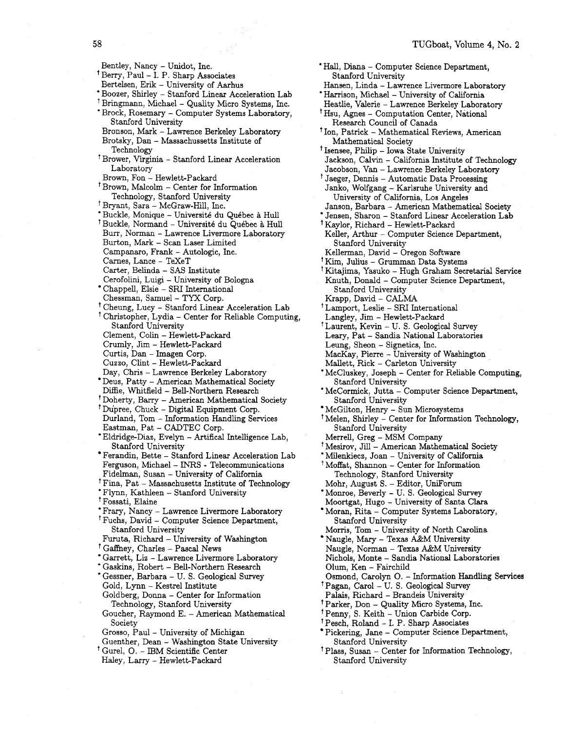'Hall, Diana - Computer Science Department, Stanford University Hansen, Linda - Lawrence Livermore Laboratory 'Harrison, Michael - University of California Heatlie, Valerie - Lawrence Berkeley Laboratory Hsu, Agnes - Computation Center, National Research Council of Canada Ion, Patrick - Mathematical Reviews, American Mathematical Society <sup>†</sup> Isensee, Philip - Iowa State University Jackson, Calvin - California Institute of Technology Jacobson, Van - Lawrence Berkeley Laboratory <sup>†</sup> Jaeger, Dennis – Automatic Data Processing Janko, Wolfgang - Karlsruhe University and University of California, Los Angeles Janson, Barbara - American Mathematical Society \* Jensen, Sharon - Stanford Linear Acceleration Lab Kaylor, Richard - Hewlett-Packard Keller, Arthur - Computer Science Department, Stanford University Kellerman, David - Oregon Software Kim, Julius - Grumman Data Systems Kitajirna, Yasuko - Hugh Graham Secretarial Service Knuth, Donald - Computer Science Department, Stanford University Krapp, David - CALMA Lamport, Leslie - SRI International Langley, Jim - Hewlett-Packard <sup>†</sup> Laurent, Kevin – U. S. Geological Survey Leary, Pat - Sandia National Laboratories Leung, Sheon - Signetics, Inc. MacKay, Pierre - University of Washington Mallett, Rick - Carleton University \* McCluskey, Joseph - Center for Reliable Computing, Stanford University McCormick, Jutta - Computer Science Department, Stanford University McGilton, Henry - Sun Microsystems Melen, Shirley - Center for Information Technology, Stanford University Merrell, Greg - MSM Company Mesirov, Jill - American Mathematical Society \* Milenkieca, Joan - University of California Moffat, Shannon - Center for Information Technology, Stanford University Mohr, August S. - Editor, UniForum 'Monroe, Beverly - U. S. Geological Survey Moortgat, Hugo - University of Santa Clara Moran, Rita - Computer Systems Laboratory, Stanford University Morris, Tom - University of North Carolina Naugle, Mary - Texas A&M University Naugle, Norman - Texas A&M University Nichols, Monte - Sandia National Laboratories Olurn, Ken - Fairchild Osmond, Carolyn 0. - Information Handling Services Pagan, Carol - U. S. Geological Survey Palais, Richard - Brandeis University Parker, Don - Quality Micro Systems, Inc. <sup>†</sup> Penny, S. Keith - Union Carbide Corp. Pesch, Roland - I. P. Sharp Associates Pickering, Jane - Computer Science Department, Stanford University Plass, Susan - Center for Information Technology, Stanford University

58 Bentley, Nancy - Unidot, Inc. ' Berry, Paul - I. P. Sharp Associates Bertelsen, Erik - University of Aarhus 'Boozer, Shirley - Stanford Linear Acceleration Lab <sup>†</sup> Bringmann, Michael - Quality Micro Systems, Inc. \* Brock, Rosemary - Computer Systems Laboratory, Stanford University Bronson, Mark - Lawrence Berkeley Laboratory Brotsky, Dan - Massachussetts Institute of Technology Brower, Virginia - Stanford Linear Acceleration Laboratory Brown, Fon - Hewlett-Packard Brown, Malcolm - Center for Information Technology, Stanford University Bryant, Sara - McGraw-Hill, Inc. Bryant, Sara – McGraw-rini, mc.<br>\* Buckle, Monique – Université du Québec à Hull Buckle, Normand - Université du Québec à Hull<br>Buckle, Normand - Université du Québec à Hull Burr, Norman - Lawrence Livermore Laboratory Burton, Mark - Scan Laser Limited Campanaro, Frank - Autologic, Inc. Carnes, Lance - TeXeT Carter, Belinda - SAS Institute Cerofolini, Luigi - University of Bologna Chappell, Elsie - SRI International Chessman, Samuel - TYX Corp. Cheung, Lucy - Stanford Linear Acceleration Lab <sup>†</sup> Christopher, Lydia – Center for Reliable Computing, Stanford University Clement, Colin - Hewlett-Packard Crumly, Jim - Hewlett-Packard Curtis, Dan - Imagen Corp. Cuzzo, Clint - Hewlett-Packard Day, Chris - Lawrence Berkeley Laboratory Deus, Patty - American Mathematical Society Diffie, Whitfield - Bell-Northern Research Doherty, Barry - American Mathematical Society Dupree, Chuck - Digital Equipment Corp. Durland, Tom - Information Handling Services Eastman, Pat - CADTEC Corp. \* Eldridge-Diaz, Evelyn - Artifical Intelligence Lab, Stanford University Ferandin, Bette - Stanford Linear Acceleration Lab Ferguson, Michael - INRS - Telecommunications Fidelman, Susan - University of California <sup>†</sup> Fina, Pat - Massachusetts Institute of Technology \* Flynn, Kathleen - Stanford University Fossati, Elaine \* Frary, Nancy - Lawrence Livermore Laboratory Fuchs, David - Computer Science Department, Stanford University Furuta, Richard - University of Washington <sup>†</sup> Gaffney, Charles - Pascal News

- \* Garrett, Liz Lawrence Livermore Laboratory
- \* Gaskins, Robert Bell-Northern Research
- \* Gessner, Barbara U. S. Geological Survey Gold, Lynn - Kestrel Institute
- Goldberg, Donna Center for Information Technology, Stanford University
- Goucher, Raymond E. American Mathematical Society
- Grosso, Paul University of Michigan
- Guenther, Dean Washington State University
- <sup>†</sup> Gurel, O. IBM Scientific Center
- Haley, Larry Hewlett-Packard